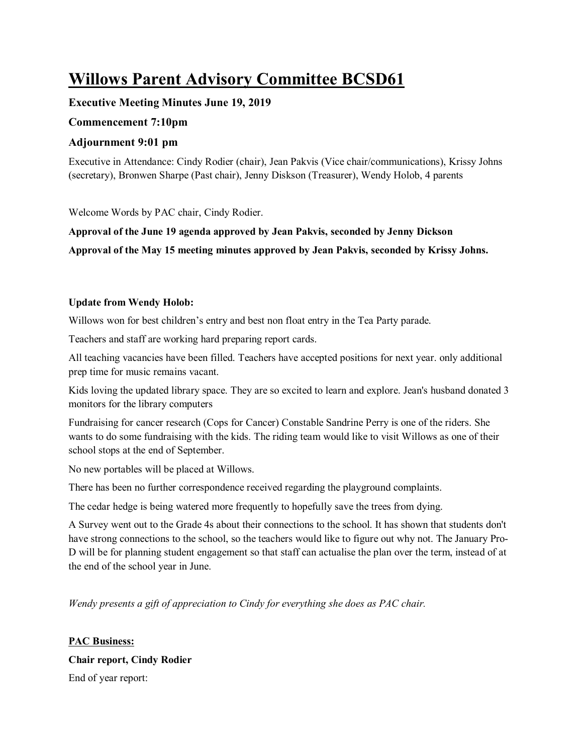# **Willows Parent Advisory Committee BCSD61**

# **Executive Meeting Minutes June 19, 2019**

## **Commencement 7:10pm**

# **Adjournment 9:01 pm**

Executive in Attendance: Cindy Rodier (chair), Jean Pakvis (Vice chair/communications), Krissy Johns (secretary), Bronwen Sharpe (Past chair), Jenny Diskson (Treasurer), Wendy Holob, 4 parents

Welcome Words by PAC chair, Cindy Rodier.

**Approval of the June 19 agenda approved by Jean Pakvis, seconded by Jenny Dickson Approval of the May 15 meeting minutes approved by Jean Pakvis, seconded by Krissy Johns.**

## **Update from Wendy Holob:**

Willows won for best children's entry and best non float entry in the Tea Party parade.

Teachers and staff are working hard preparing report cards.

All teaching vacancies have been filled. Teachers have accepted positions for next year. only additional prep time for music remains vacant.

Kids loving the updated library space. They are so excited to learn and explore. Jean's husband donated 3 monitors for the library computers

Fundraising for cancer research (Cops for Cancer) Constable Sandrine Perry is one of the riders. She wants to do some fundraising with the kids. The riding team would like to visit Willows as one of their school stops at the end of September.

No new portables will be placed at Willows.

There has been no further correspondence received regarding the playground complaints.

The cedar hedge is being watered more frequently to hopefully save the trees from dying.

A Survey went out to the Grade 4s about their connections to the school. It has shown that students don't have strong connections to the school, so the teachers would like to figure out why not. The January Pro-D will be for planning student engagement so that staff can actualise the plan over the term, instead of at the end of the school year in June.

*Wendy presents a gift of appreciation to Cindy for everything she does as PAC chair.* 

**PAC Business: Chair report, Cindy Rodier**  End of year report: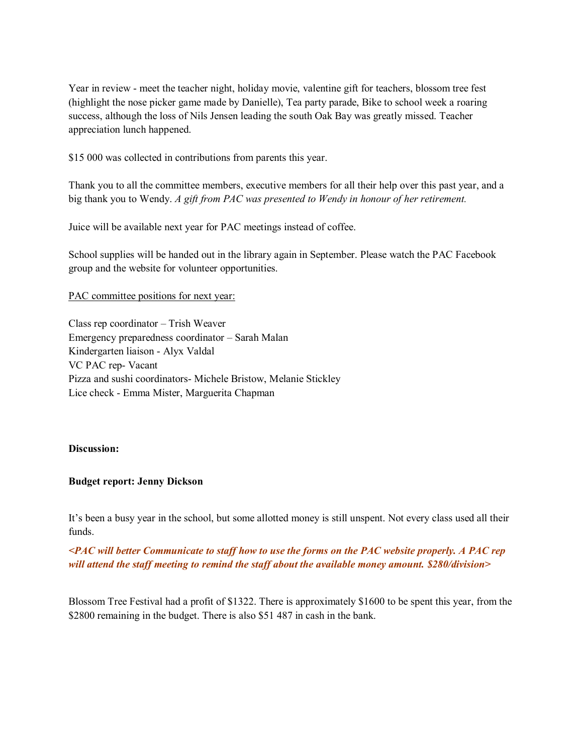Year in review - meet the teacher night, holiday movie, valentine gift for teachers, blossom tree fest (highlight the nose picker game made by Danielle), Tea party parade, Bike to school week a roaring success, although the loss of Nils Jensen leading the south Oak Bay was greatly missed. Teacher appreciation lunch happened.

\$15 000 was collected in contributions from parents this year.

Thank you to all the committee members, executive members for all their help over this past year, and a big thank you to Wendy. *A gift from PAC was presented to Wendy in honour of her retirement.*

Juice will be available next year for PAC meetings instead of coffee.

School supplies will be handed out in the library again in September. Please watch the PAC Facebook group and the website for volunteer opportunities.

PAC committee positions for next year:

Class rep coordinator – Trish Weaver Emergency preparedness coordinator – Sarah Malan Kindergarten liaison - Alyx Valdal VC PAC rep- Vacant Pizza and sushi coordinators- Michele Bristow, Melanie Stickley Lice check - Emma Mister, Marguerita Chapman

#### **Discussion:**

#### **Budget report: Jenny Dickson**

It's been a busy year in the school, but some allotted money is still unspent. Not every class used all their funds.

*<PAC will better Communicate to staff how to use the forms on the PAC website properly. A PAC rep will attend the staff meeting to remind the staff about the available money amount. \$280/division>*

Blossom Tree Festival had a profit of \$1322. There is approximately \$1600 to be spent this year, from the \$2800 remaining in the budget. There is also \$51 487 in cash in the bank.